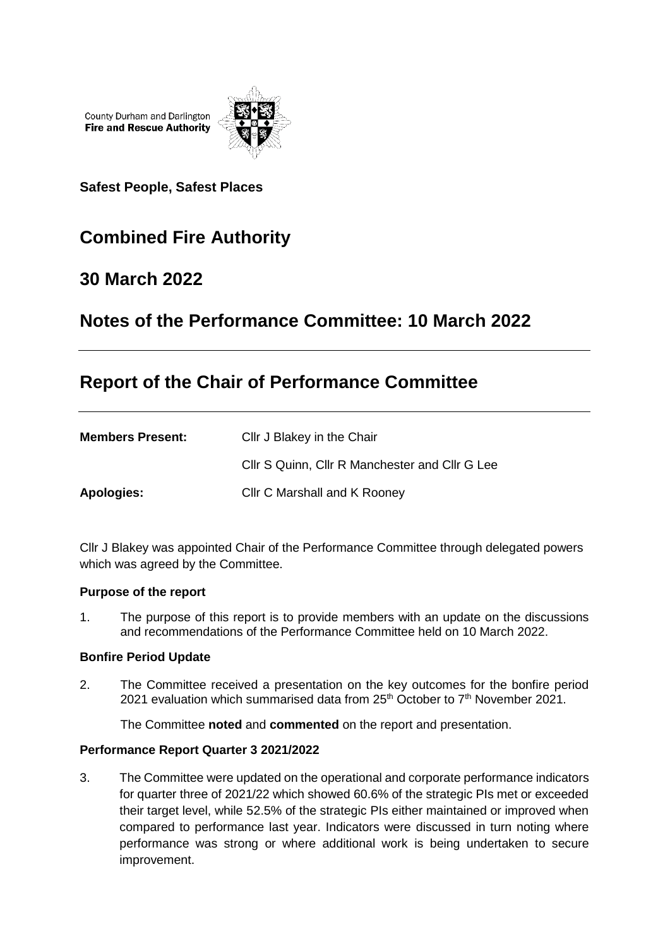County Durham and Darlington **Fire and Rescue Authority** 



**Safest People, Safest Places**

# **Combined Fire Authority**

### **30 March 2022**

# **Notes of the Performance Committee: 10 March 2022**

# **Report of the Chair of Performance Committee**

| <b>Members Present:</b> | Cllr J Blakey in the Chair                     |
|-------------------------|------------------------------------------------|
|                         | CIIr S Quinn, CIIr R Manchester and CIIr G Lee |
| Apologies:              | Cllr C Marshall and K Rooney                   |

Cllr J Blakey was appointed Chair of the Performance Committee through delegated powers which was agreed by the Committee.

#### **Purpose of the report**

1. The purpose of this report is to provide members with an update on the discussions and recommendations of the Performance Committee held on 10 March 2022.

#### **Bonfire Period Update**

2. The Committee received a presentation on the key outcomes for the bonfire period 2021 evaluation which summarised data from  $25<sup>th</sup>$  October to  $7<sup>th</sup>$  November 2021.

The Committee **noted** and **commented** on the report and presentation.

#### **Performance Report Quarter 3 2021/2022**

3. The Committee were updated on the operational and corporate performance indicators for quarter three of 2021/22 which showed 60.6% of the strategic PIs met or exceeded their target level, while 52.5% of the strategic PIs either maintained or improved when compared to performance last year. Indicators were discussed in turn noting where performance was strong or where additional work is being undertaken to secure improvement.